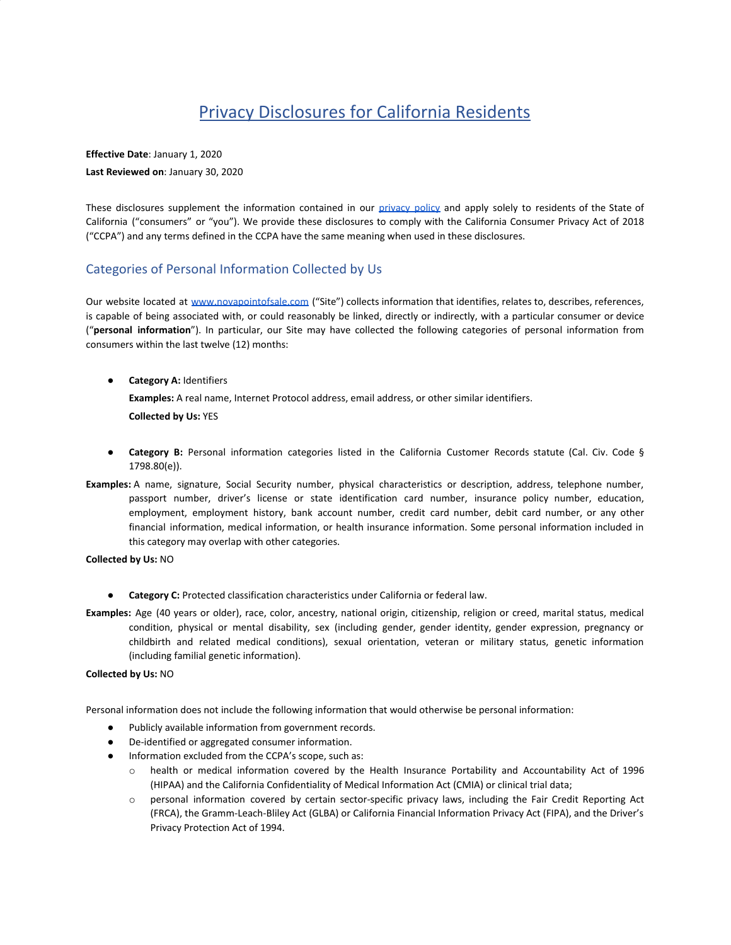# Privacy Disclosures for California Residents

**Effective Date**: January 1, 2020 **Last Reviewed on**: January 30, 2020

These disclosures supplement the information contained in our [privacy](https://novapointofsale.com/privacy-policy/) policy and apply solely to residents of the State of California ("consumers" or "you"). We provide these disclosures to comply with the California Consumer Privacy Act of 2018 ("CCPA") and any terms defined in the CCPA have the same meaning when used in these disclosures.

# Categories of Personal Information Collected by Us

Our website located at [www.novapointofsale.com](http://www.novapointofsale.com/) ("Site") collects information that identifies, relates to, describes, references, is capable of being associated with, or could reasonably be linked, directly or indirectly, with a particular consumer or device ("**personal information**"). In particular, our Site may have collected the following categories of personal information from consumers within the last twelve (12) months:

● **Category A:** Identifiers

**Examples:** A real name, Internet Protocol address, email address, or other similar identifiers. **Collected by Us:** YES

- **Category B:** Personal information categories listed in the California Customer Records statute (Cal. Civ. Code § 1798.80(e)).
- **Examples:** A name, signature, Social Security number, physical characteristics or description, address, telephone number, passport number, driver's license or state identification card number, insurance policy number, education, employment, employment history, bank account number, credit card number, debit card number, or any other financial information, medical information, or health insurance information. Some personal information included in this category may overlap with other categories.

### **Collected by Us:** NO

- **Category C:** Protected classification characteristics under California or federal law.
- **Examples:** Age (40 years or older), race, color, ancestry, national origin, citizenship, religion or creed, marital status, medical condition, physical or mental disability, sex (including gender, gender identity, gender expression, pregnancy or childbirth and related medical conditions), sexual orientation, veteran or military status, genetic information (including familial genetic information).

### **Collected by Us:** NO

Personal information does not include the following information that would otherwise be personal information:

- Publicly available information from government records.
- De-identified or aggregated consumer information.
- Information excluded from the CCPA's scope, such as:
	- o health or medical information covered by the Health Insurance Portability and Accountability Act of 1996 (HIPAA) and the California Confidentiality of Medical Information Act (CMIA) or clinical trial data;
	- o personal information covered by certain sector-specific privacy laws, including the Fair Credit Reporting Act (FRCA), the Gramm-Leach-Bliley Act (GLBA) or California Financial Information Privacy Act (FIPA), and the Driver's Privacy Protection Act of 1994.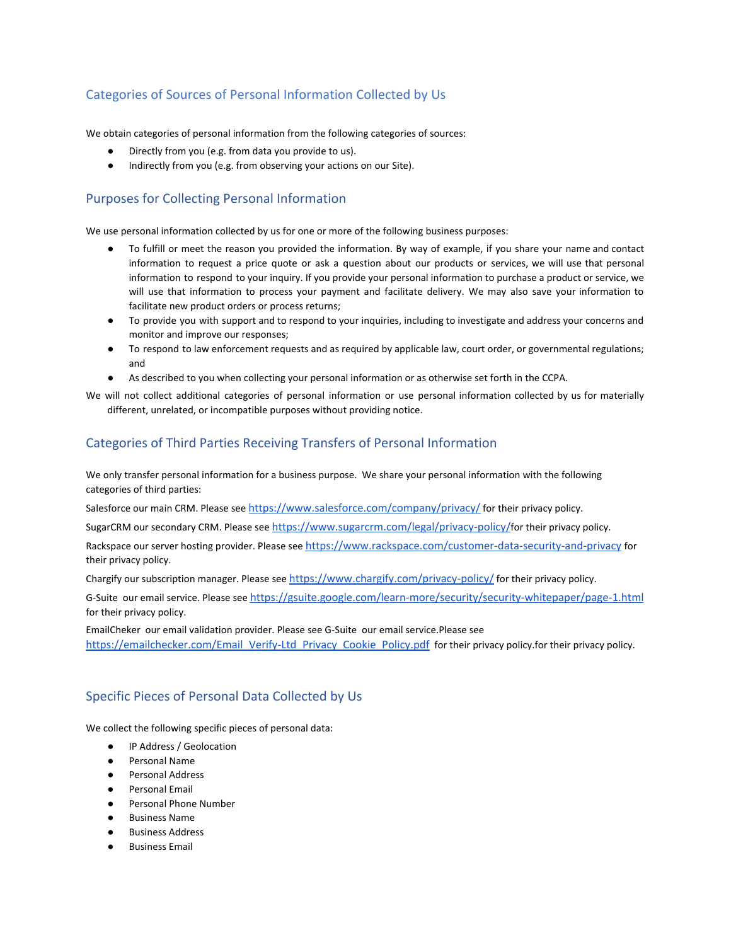# Categories of Sources of Personal Information Collected by Us

We obtain categories of personal information from the following categories of sources:

- Directly from you (e.g. from data you provide to us).
- Indirectly from you (e.g. from observing your actions on our Site).

### Purposes for Collecting Personal Information

We use personal information collected by us for one or more of the following business purposes:

- To fulfill or meet the reason you provided the information. By way of example, if you share your name and contact information to request a price quote or ask a question about our products or services, we will use that personal information to respond to your inquiry. If you provide your personal information to purchase a product or service, we will use that information to process your payment and facilitate delivery. We may also save your information to facilitate new product orders or process returns;
- To provide you with support and to respond to your inquiries, including to investigate and address your concerns and monitor and improve our responses;
- To respond to law enforcement requests and as required by applicable law, court order, or governmental regulations; and
- As described to you when collecting your personal information or as otherwise set forth in the CCPA.

We will not collect additional categories of personal information or use personal information collected by us for materially different, unrelated, or incompatible purposes without providing notice.

# Categories of Third Parties Receiving Transfers of Personal Information

We only transfer personal information for a business purpose. We share your personal information with the following categories of third parties:

Salesforce our main CRM. Please see <https://www.salesforce.com/company/privacy/> for their privacy policy.

SugarCRM our secondary CRM. Please see <https://www.sugarcrm.com/legal/privacy-policy/>for their privacy policy.

Rackspace our server hosting provider. Please see [https://www.rackspace.com/customer-data-security-and-privacy](https://www.rackspace.com/information/legal/privacycenter/customer-data-security-and-privacy) for their privacy policy.

Chargify our subscription manager. Please see <https://www.chargify.com/privacy-policy/> for their privacy policy.

G-Suite our email service. Please see <https://gsuite.google.com/learn-more/security/security-whitepaper/page-1.html> for their privacy policy.

EmailCheker our email validation provider. Please see G-Suite our email service.Please see [https://emailchecker.com/Email\\_Verify-Ltd\\_Privacy\\_Cookie\\_Policy.pdf](https://emailchecker.com/wp-content/uploads/2017/07/Email_Verify-Ltd_Privacy_Cookie_Policy.pdf) for their privacy policy.for their privacy policy.

# Specific Pieces of Personal Data Collected by Us

We collect the following specific pieces of personal data:

- IP Address / Geolocation
- Personal Name
- Personal Address
- Personal Email
- Personal Phone Number
- **Business Name**
- **Business Address**
- **Business Email**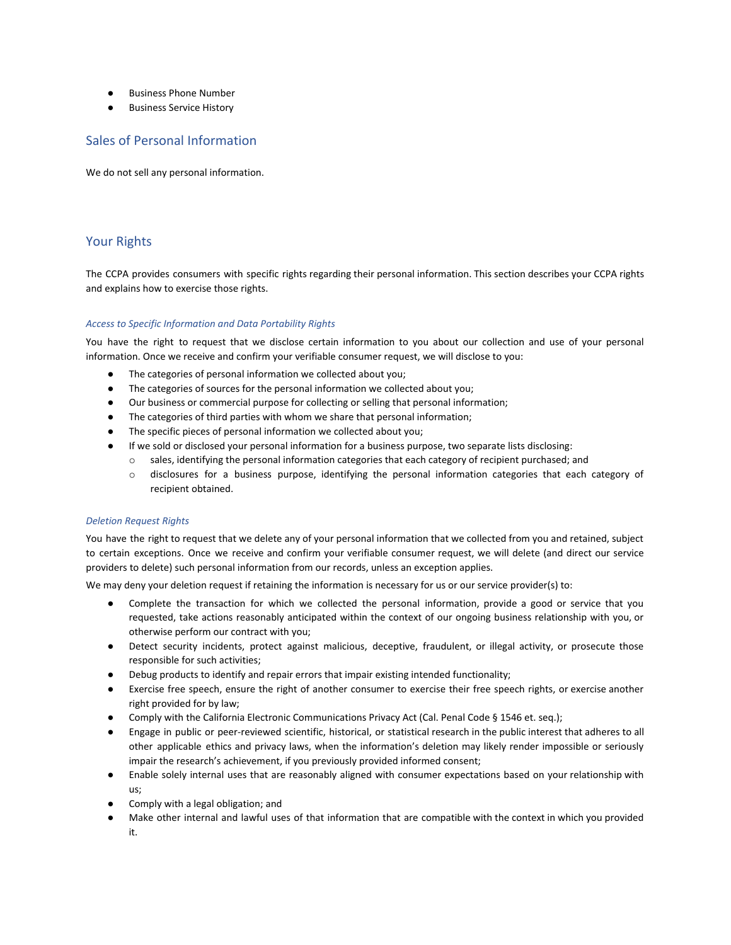- **Business Phone Number**
- **Business Service History**

### Sales of Personal Information

We do not sell any personal information.

# Your Rights

The CCPA provides consumers with specific rights regarding their personal information. This section describes your CCPA rights and explains how to exercise those rights.

### *Access to Specific Information and Data Portability Rights*

You have the right to request that we disclose certain information to you about our collection and use of your personal information. Once we receive and confirm your verifiable consumer request, we will disclose to you:

- The categories of personal information we collected about you;
- The categories of sources for the personal information we collected about you;
- Our business or commercial purpose for collecting or selling that personal information;
- The categories of third parties with whom we share that personal information;
- The specific pieces of personal information we collected about you;
- If we sold or disclosed your personal information for a business purpose, two separate lists disclosing:
- o sales, identifying the personal information categories that each category of recipient purchased; and
	- o disclosures for a business purpose, identifying the personal information categories that each category of recipient obtained.

### *Deletion Request Rights*

You have the right to request that we delete any of your personal information that we collected from you and retained, subject to certain exceptions. Once we receive and confirm your verifiable consumer request, we will delete (and direct our service providers to delete) such personal information from our records, unless an exception applies.

We may deny your deletion request if retaining the information is necessary for us or our service provider(s) to:

- Complete the transaction for which we collected the personal information, provide a good or service that you requested, take actions reasonably anticipated within the context of our ongoing business relationship with you, or otherwise perform our contract with you;
- Detect security incidents, protect against malicious, deceptive, fraudulent, or illegal activity, or prosecute those responsible for such activities;
- Debug products to identify and repair errors that impair existing intended functionality;
- Exercise free speech, ensure the right of another consumer to exercise their free speech rights, or exercise another right provided for by law;
- Comply with the California Electronic Communications Privacy Act (Cal. Penal Code § 1546 et. seq.);
- Engage in public or peer-reviewed scientific, historical, or statistical research in the public interest that adheres to all other applicable ethics and privacy laws, when the information's deletion may likely render impossible or seriously impair the research's achievement, if you previously provided informed consent;
- Enable solely internal uses that are reasonably aligned with consumer expectations based on your relationship with us;
- Comply with a legal obligation; and
- Make other internal and lawful uses of that information that are compatible with the context in which you provided it.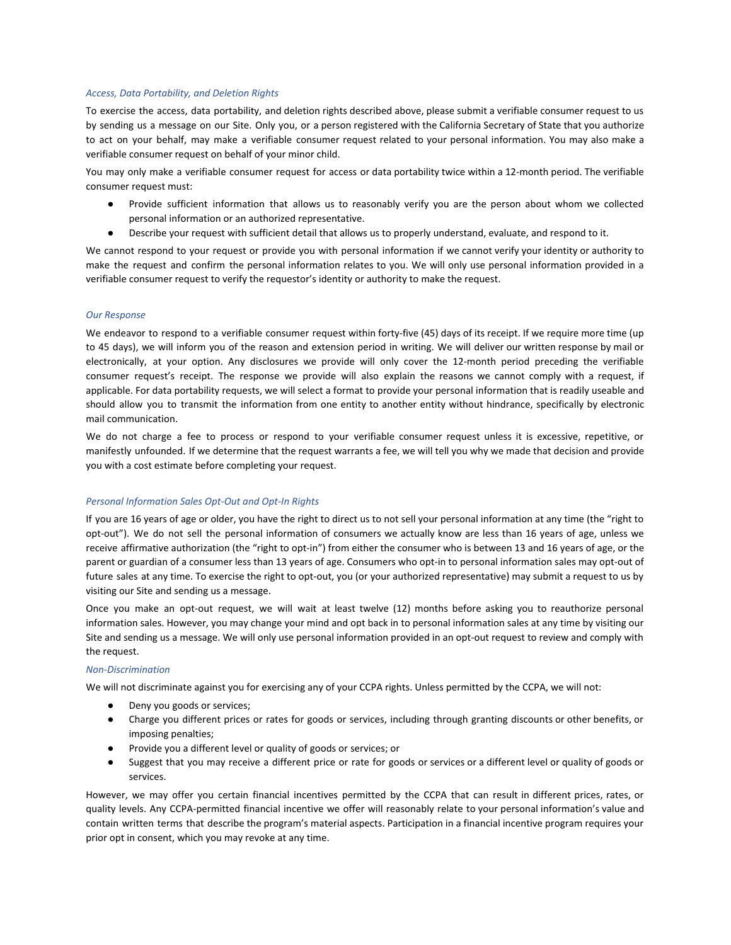#### *Access, Data Portability, and Deletion Rights*

To exercise the access, data portability, and deletion rights described above, please submit a verifiable consumer request to us by sending us a message on our Site. Only you, or a person registered with the California Secretary of State that you authorize to act on your behalf, may make a verifiable consumer request related to your personal information. You may also make a verifiable consumer request on behalf of your minor child.

You may only make a verifiable consumer request for access or data portability twice within a 12-month period. The verifiable consumer request must:

- Provide sufficient information that allows us to reasonably verify you are the person about whom we collected personal information or an authorized representative.
- Describe your request with sufficient detail that allows us to properly understand, evaluate, and respond to it.

We cannot respond to your request or provide you with personal information if we cannot verify your identity or authority to make the request and confirm the personal information relates to you. We will only use personal information provided in a verifiable consumer request to verify the requestor's identity or authority to make the request.

#### *Our Response*

We endeavor to respond to a verifiable consumer request within forty-five (45) days of its receipt. If we require more time (up to 45 days), we will inform you of the reason and extension period in writing. We will deliver our written response by mail or electronically, at your option. Any disclosures we provide will only cover the 12-month period preceding the verifiable consumer request's receipt. The response we provide will also explain the reasons we cannot comply with a request, if applicable. For data portability requests, we will select a format to provide your personal information that is readily useable and should allow you to transmit the information from one entity to another entity without hindrance, specifically by electronic mail communication.

We do not charge a fee to process or respond to your verifiable consumer request unless it is excessive, repetitive, or manifestly unfounded. If we determine that the request warrants a fee, we will tell you why we made that decision and provide you with a cost estimate before completing your request.

#### *Personal Information Sales Opt-Out and Opt-In Rights*

If you are 16 years of age or older, you have the right to direct us to not sell your personal information at any time (the "right to opt-out"). We do not sell the personal information of consumers we actually know are less than 16 years of age, unless we receive affirmative authorization (the "right to opt-in") from either the consumer who is between 13 and 16 years of age, or the parent or guardian of a consumer less than 13 years of age. Consumers who opt-in to personal information sales may opt-out of future sales at any time. To exercise the right to opt-out, you (or your authorized representative) may submit a request to us by visiting our Site and sending us a message.

Once you make an opt-out request, we will wait at least twelve (12) months before asking you to reauthorize personal information sales. However, you may change your mind and opt back in to personal information sales at any time by visiting our Site and sending us a message. We will only use personal information provided in an opt-out request to review and comply with the request.

### *Non-Discrimination*

We will not discriminate against you for exercising any of your CCPA rights. Unless permitted by the CCPA, we will not:

- Deny you goods or services;
- Charge you different prices or rates for goods or services, including through granting discounts or other benefits, or imposing penalties;
- Provide you a different level or quality of goods or services; or
- Suggest that you may receive a different price or rate for goods or services or a different level or quality of goods or services.

However, we may offer you certain financial incentives permitted by the CCPA that can result in different prices, rates, or quality levels. Any CCPA-permitted financial incentive we offer will reasonably relate to your personal information's value and contain written terms that describe the program's material aspects. Participation in a financial incentive program requires your prior opt in consent, which you may revoke at any time.